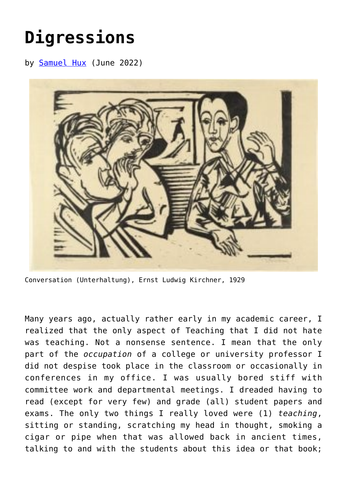## **[Digressions](https://www.newenglishreview.org/articles/digressions/)**

by [Samuel Hux](https://www.newenglishreview.org/authors/samuel-hux/) (June 2022)



Conversation (Unterhaltung), Ernst Ludwig Kirchner, 1929

Many years ago, actually rather early in my academic career, I realized that the only aspect of Teaching that I did not hate was teaching. Not a nonsense sentence. I mean that the only part of the *occupation* of a college or university professor I did not despise took place in the classroom or occasionally in conferences in my office. I was usually bored stiff with committee work and departmental meetings. I dreaded having to read (except for very few) and grade (all) student papers and exams. The only two things I really loved were (1) *teaching*, sitting or standing, scratching my head in thought, smoking a cigar or pipe when that was allowed back in ancient times, talking to and with the students about this idea or that book;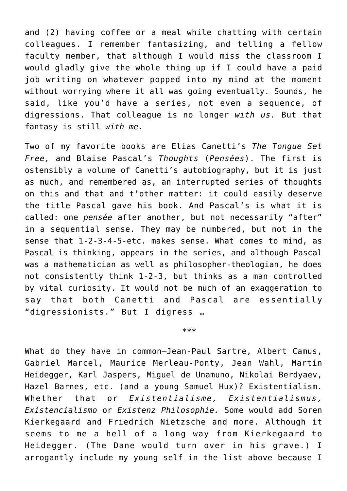and (2) having coffee or a meal while chatting with certain colleagues. I remember fantasizing, and telling a fellow faculty member, that although I would miss the classroom I would gladly give the whole thing up if I could have a paid job writing on whatever popped into my mind at the moment without worrying where it all was going eventually. Sounds, he said, like you'd have a series, not even a sequence, of digressions. That colleague is no longer *with us.* But that fantasy is still *with me.*

Two of my favorite books are Elias Canetti's *The Tongue Set Free,* and Blaise Pascal's *Thoughts* (*Pensées*). The first is ostensibly a volume of Canetti's autobiography, but it is just as much, and remembered as, an interrupted series of thoughts on this and that and t'other matter: it could easily deserve the title Pascal gave his book. And Pascal's is what it is called: one *pensée* after another, but not necessarily "after" in a sequential sense. They may be numbered, but not in the sense that 1-2-3-4-5-etc. makes sense. What comes to mind, as Pascal is thinking, appears in the series, and although Pascal was a mathematician as well as philosopher-theologian, he does not consistently think 1-2-3, but thinks as a man controlled by vital curiosity. It would not be much of an exaggeration to say that both Canetti and Pascal are essentially "digressionists." But I digress …

\*\*\*

What do they have in common—Jean-Paul Sartre, Albert Camus, Gabriel Marcel, Maurice Merleau-Ponty, Jean Wahl, Martin Heidegger, Karl Jaspers, Miguel de Unamuno, Nikolai Berdyaev, Hazel Barnes, etc. (and a young Samuel Hux)? Existentialism. Whether that or *Existentialisme, Existentialismus, Existencialismo* or *Existenz Philosophie.* Some would add Soren Kierkegaard and Friedrich Nietzsche and more. Although it seems to me a hell of a long way from Kierkegaard to Heidegger. (The Dane would turn over in his grave.) I arrogantly include my young self in the list above because I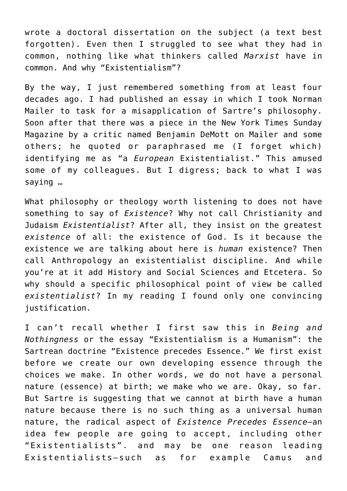wrote a doctoral dissertation on the subject (a text best forgotten). Even then I struggled to see what they had in common, nothing like what thinkers called *Marxist* have in common. And why "Existentialism"?

By the way, I just remembered something from at least four decades ago. I had published an essay in which I took Norman Mailer to task for a misapplication of Sartre's philosophy. Soon after that there was a piece in the New York Times Sunday Magazine by a critic named Benjamin DeMott on Mailer and some others; he quoted or paraphrased me (I forget which) identifying me as "a *European* Existentialist." This amused some of my colleagues. But I digress; back to what I was saying …

What philosophy or theology worth listening to does not have something to say of *Existence*? Why not call Christianity and Judaism *Existentialist*? After all, they insist on the greatest *existence* of all: the existence of God. Is it because the existence we are talking about here is *human* existence? Then call Anthropology an existentialist discipline. And while you're at it add History and Social Sciences and Etcetera. So why should a specific philosophical point of view be called *existentialist*? In my reading I found only one convincing justification.

I can't recall whether I first saw this in *Being and Nothingness* or the essay "Existentialism is a Humanism": the Sartrean doctrine "Existence precedes Essence." We first exist before we create our own developing essence through the choices we make. In other words, we do not have a personal nature (essence) at birth; we make who we are. Okay, so far. But Sartre is suggesting that we cannot at birth have a human nature because there is no such thing as a universal human nature, the radical aspect of *Existence Precedes Essence—*an idea few people are going to accept, including other "Existentialists". and may be one reason leading Existentialists—such as for example Camus and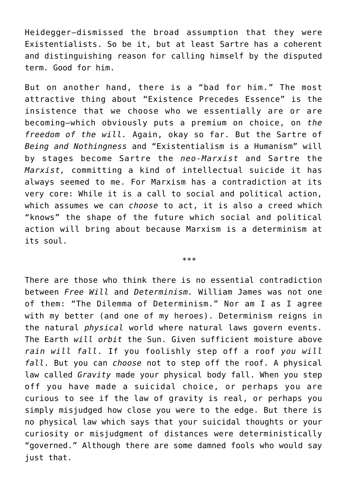Heidegger—dismissed the broad assumption that they were Existentialists. So be it, but at least Sartre has a coherent and distinguishing reason for calling himself by the disputed term. Good for him.

But on another hand, there is a "bad for him." The most attractive thing about "Existence Precedes Essence" is the insistence that we choose who we essentially are or are becoming—which obviously puts a premium on choice, on *the freedom of the will.* Again, okay so far. But the Sartre of *Being and Nothingness* and "Existentialism is a Humanism" will by stages become Sartre the *neo-Marxist* and Sartre the *Marxist,* committing a kind of intellectual suicide it has always seemed to me. For Marxism has a contradiction at its very core: While it is a call to social and political action, which assumes we can *choose* to act, it is also a creed which "knows" the shape of the future which social and political action will bring about because Marxism is a determinism at its soul.

\*\*\*

There are those who think there is no essential contradiction between *Free Will* and *Determinism.* William James was not one of them: "The Dilemma of Determinism." Nor am I as I agree with my better (and one of my heroes). Determinism reigns in the natural *physical* world where natural laws govern events. The Earth *will orbit* the Sun. Given sufficient moisture above *rain will fall*. If you foolishly step off a roof *you will fall*. But you can *choose* not to step off the roof. A physical law called *Gravity* made your physical body fall. When you step off you have made a suicidal choice, or perhaps you are curious to see if the law of gravity is real, or perhaps you simply misjudged how close you were to the edge. But there is no physical law which says that your suicidal thoughts or your curiosity or misjudgment of distances were deterministically "governed." Although there are some damned fools who would say just that.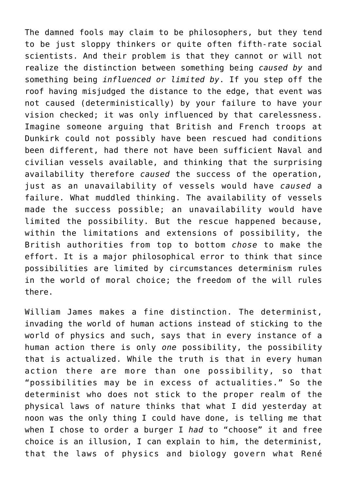The damned fools may claim to be philosophers, but they tend to be just sloppy thinkers or quite often fifth-rate social scientists. And their problem is that they cannot or will not realize the distinction between something being *caused by* and something being *influenced or limited by*. If you step off the roof having misjudged the distance to the edge, that event was not caused (deterministically) by your failure to have your vision checked; it was only influenced by that carelessness. Imagine someone arguing that British and French troops at Dunkirk could not possibly have been rescued had conditions been different, had there not have been sufficient Naval and civilian vessels available, and thinking that the surprising availability therefore *caused* the success of the operation, just as an unavailability of vessels would have *caused* a failure. What muddled thinking. The availability of vessels made the success possible; an unavailability would have limited the possibility. But the rescue happened because, within the limitations and extensions of possibility, the British authorities from top to bottom *chose* to make the effort. It is a major philosophical error to think that since possibilities are limited by circumstances determinism rules in the world of moral choice; the freedom of the will rules there.

William James makes a fine distinction. The determinist, invading the world of human actions instead of sticking to the world of physics and such, says that in every instance of a human action there is only *one* possibility, the possibility that is actualized. While the truth is that in every human action there are more than one possibility, so that "possibilities may be in excess of actualities." So the determinist who does not stick to the proper realm of the physical laws of nature thinks that what I did yesterday at noon was the only thing I could have done, is telling me that when I chose to order a burger I *had* to "choose" it and free choice is an illusion, I can explain to him, the determinist, that the laws of physics and biology govern what René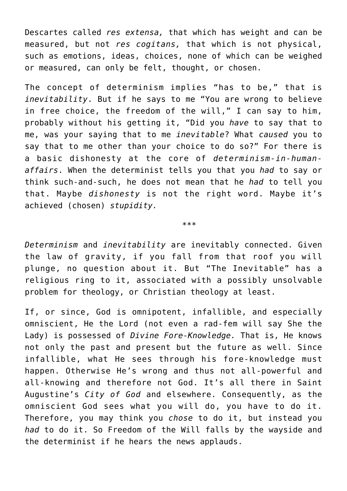Descartes called *res extensa,* that which has weight and can be measured, but not *res cogitans,* that which is not physical, such as emotions, ideas, choices, none of which can be weighed or measured, can only be felt, thought, or chosen.

The concept of determinism implies "has to be," that is *inevitability*. But if he says to me "You are wrong to believe in free choice, the freedom of the will," I can say to him, probably without his getting it, "Did you *have* to say that to me, was your saying that to me *inevitable*? What *caused* you to say that to me other than your choice to do so?" For there is a basic dishonesty at the core of *determinism-in-humanaffairs*. When the determinist tells you that you *had* to say or think such-and-such, he does not mean that he *had* to tell you that. Maybe *dishonesty* is not the right word. Maybe it's achieved (chosen) *stupidity.*

*\*\*\**

*Determinism* and *inevitability* are inevitably connected. Given the law of gravity, if you fall from that roof you will plunge, no question about it. But "The Inevitable" has a religious ring to it, associated with a possibly unsolvable problem for theology, or Christian theology at least.

If, or since, God is omnipotent, infallible, and especially omniscient, He the Lord (not even a rad-fem will say She the Lady) is possessed of *Divine Fore-Knowledge.* That is, He knows not only the past and present but the future as well. Since infallible, what He sees through his fore-knowledge must happen. Otherwise He's wrong and thus not all-powerful and all-knowing and therefore not God. It's all there in Saint Augustine's *City of God* and elsewhere. Consequently, as the omniscient God sees what you will do, you have to do it. Therefore, you may think you *chose* to do it, but instead you *had* to do it. So Freedom of the Will falls by the wayside and the determinist if he hears the news applauds.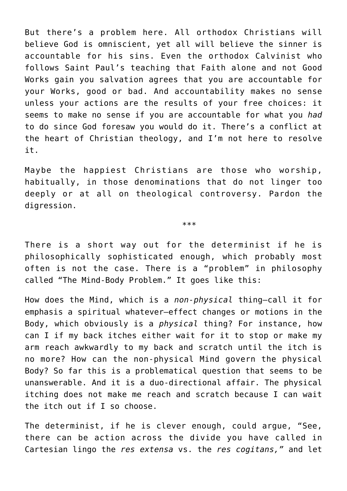But there's a problem here. All orthodox Christians will believe God is omniscient, yet all will believe the sinner is accountable for his sins. Even the orthodox Calvinist who follows Saint Paul's teaching that Faith alone and not Good Works gain you salvation agrees that you are accountable for your Works, good or bad. And accountability makes no sense unless your actions are the results of your free choices: it seems to make no sense if you are accountable for what you *had* to do since God foresaw you would do it. There's a conflict at the heart of Christian theology, and I'm not here to resolve it.

Maybe the happiest Christians are those who worship, habitually, in those denominations that do not linger too deeply or at all on theological controversy. Pardon the digression.

\*\*\*

There is a short way out for the determinist if he is philosophically sophisticated enough, which probably most often is not the case. There is a "problem" in philosophy called "The Mind-Body Problem." It goes like this:

How does the Mind, which is a *non-physical* thing—call it for emphasis a spiritual whatever—effect changes or motions in the Body, which obviously is a *physical* thing? For instance, how can I if my back itches either wait for it to stop or make my arm reach awkwardly to my back and scratch until the itch is no more? How can the non-physical Mind govern the physical Body? So far this is a problematical question that seems to be unanswerable. And it is a duo-directional affair. The physical itching does not make me reach and scratch because I can wait the itch out if I so choose.

The determinist, if he is clever enough, could argue, "See, there can be action across the divide you have called in Cartesian lingo the *res extensa* vs. the *res cogitans,"* and let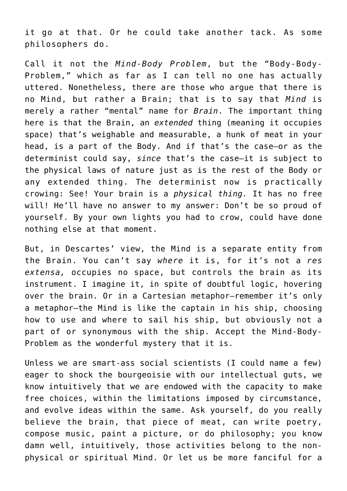it go at that. Or he could take another tack. As some philosophers do.

Call it not the *Mind-Body Problem*, but the "Body-Body-Problem," which as far as I can tell no one has actually uttered. Nonetheless, there are those who argue that there is no Mind, but rather a Brain; that is to say that *Mind* is merely a rather "mental" name for *Brain*. The important thing here is that the Brain, an *extended* thing (meaning it occupies space) that's weighable and measurable, a hunk of meat in your head, is a part of the Body. And if that's the case—or as the determinist could say, *since* that's the case—it is subject to the physical laws of nature just as is the rest of the Body or any extended thing. The determinist now is practically crowing: See! Your brain is a *physical thing.* It has no free will! He'll have no answer to my answer: Don't be so proud of yourself. By your own lights you had to crow, could have done nothing else at that moment.

But, in Descartes' view, the Mind is a separate entity from the Brain. You can't say *where* it is, for it's not a *res extensa,* occupies no space, but controls the brain as its instrument. I imagine it, in spite of doubtful logic, hovering over the brain. Or in a Cartesian metaphor—remember it's only a metaphor—the Mind is like the captain in his ship, choosing how to use and where to sail his ship, but obviously not a part of or synonymous with the ship. Accept the Mind-Body-Problem as the wonderful mystery that it is.

Unless we are smart-ass social scientists (I could name a few) eager to shock the bourgeoisie with our intellectual guts, we know intuitively that we are endowed with the capacity to make free choices, within the limitations imposed by circumstance, and evolve ideas within the same. Ask yourself, do you really believe the brain, that piece of meat, can write poetry, compose music, paint a picture, or do philosophy; you know damn well, intuitively, those activities belong to the nonphysical or spiritual Mind. Or let us be more fanciful for a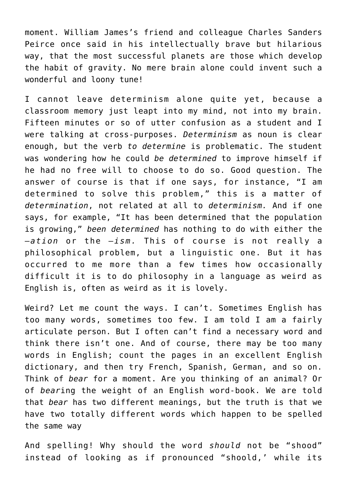moment. William James's friend and colleague Charles Sanders Peirce once said in his intellectually brave but hilarious way, that the most successful planets are those which develop the habit of gravity. No mere brain alone could invent such a wonderful and loony tune!

I cannot leave determinism alone quite yet, because a classroom memory just leapt into my mind, not into my brain. Fifteen minutes or so of utter confusion as a student and I were talking at cross-purposes. *Determinism* as noun is clear enough, but the verb *to determine* is problematic. The student was wondering how he could *be determined* to improve himself if he had no free will to choose to do so. Good question. The answer of course is that if one says, for instance, "I am determined to solve this problem," this is a matter of *determination*, not related at all to *determinism.* And if one says, for example, "It has been determined that the population is growing," *been determined* has nothing to do with either the –*ation* or the –*ism.* This of course is not really a philosophical problem, but a linguistic one. But it has occurred to me more than a few times how occasionally difficult it is to do philosophy in a language as weird as English is, often as weird as it is lovely.

Weird? Let me count the ways. I can't. Sometimes English has too many words, sometimes too few. I am told I am a fairly articulate person. But I often can't find a necessary word and think there isn't one. And of course, there may be too many words in English; count the pages in an excellent English dictionary, and then try French, Spanish, German, and so on. Think of *bear* for a moment. Are you thinking of an animal? Or of *bear*ing the weight of an English word-book. We are told that *bear* has two different meanings, but the truth is that we have two totally different words which happen to be spelled the same way

And spelling! Why should the word *should* not be "shood" instead of looking as if pronounced "shoold,' while its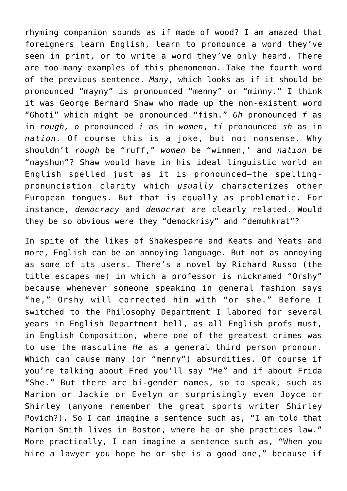rhyming companion sounds as if made of wood? I am amazed that foreigners learn English, learn to pronounce a word they've seen in print, or to write a word they've only heard. There are too many examples of this phenomenon. Take the fourth word of the previous sentence. *Many*, which looks as if it should be pronounced "mayny" is pronounced "menny" or "minny." I think it was George Bernard Shaw who made up the non-existent word "Ghoti" which might be pronounced "fish." *Gh* pronounced *f* as in *rough, o* pronounced *i* as in *women*, *ti* pronounced *sh* as in *nation.* Of course this is a joke, but not nonsense. Why shouldn't *rough* be "ruff," *women* be "wimmen,' and *nation* be "nayshun"? Shaw would have in his ideal linguistic world an English spelled just as it is pronounced—the spellingpronunciation clarity which *usually* characterizes other European tongues. But that is equally as problematic. For instance, *democracy* and *democrat* are clearly related. Would they be so obvious were they "demockrisy" and "demuhkrat"?

In spite of the likes of Shakespeare and Keats and Yeats and more, English can be an annoying language. But not as annoying as some of its users. There's a novel by Richard Russo (the title escapes me) in which a professor is nicknamed "Orshy" because whenever someone speaking in general fashion says "he," Orshy will corrected him with "or she." Before I switched to the Philosophy Department I labored for several years in English Department hell, as all English profs must, in English Composition, where one of the greatest crimes was to use the masculine *He* as a general third person pronoun. Which can cause many (or "menny") absurdities. Of course if you're talking about Fred you'll say "He" and if about Frida "She." But there are bi-gender names, so to speak, such as Marion or Jackie or Evelyn or surprisingly even Joyce or Shirley (anyone remember the great sports writer Shirley Povich?). So I can imagine a sentence such as, "I am told that Marion Smith lives in Boston, where he or she practices law." More practically, I can imagine a sentence such as, "When you hire a lawyer you hope he or she is a good one," because if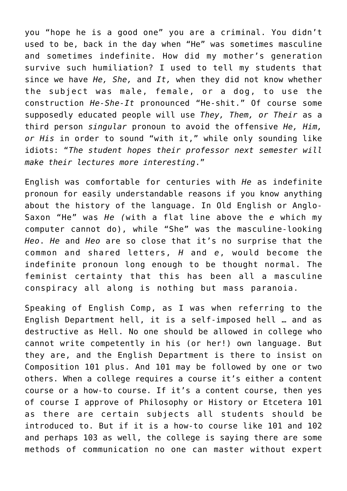you "hope he is a good one" you are a criminal. You didn't used to be, back in the day when "He" was sometimes masculine and sometimes indefinite. How did my mother's generation survive such humiliation? I used to tell my students that since we have *He, She,* and *It,* when they did not know whether the subject was male, female, or a dog, to use the construction *He-She-It* pronounced "He-shit." Of course some supposedly educated people will use *They, Them, or Their* as a third person *singular* pronoun to avoid the offensive *He, Him, or His* in order to sound "with it," while only sounding like idiots: "*The student hopes their professor next semester will make their lectures more interesting*."

English was comfortable for centuries with *He* as indefinite pronoun for easily understandable reasons if you know anything about the history of the language. In Old English or Anglo-Saxon "He" was *He (*with a flat line above the *e* which my computer cannot do), while "She" was the masculine-looking *Heo*. *He* and *Heo* are so close that it's no surprise that the common and shared letters, *H* and *e*, would become the indefinite pronoun long enough to be thought normal. The feminist certainty that this has been all a masculine conspiracy all along is nothing but mass paranoia.

Speaking of English Comp, as I was when referring to the English Department hell, it is a self-imposed hell … and as destructive as Hell. No one should be allowed in college who cannot write competently in his (or her!) own language. But they are, and the English Department is there to insist on Composition 101 plus. And 101 may be followed by one or two others. When a college requires a course it's either a content course or a how-to course. If it's a content course, then yes of course I approve of Philosophy or History or Etcetera 101 as there are certain subjects all students should be introduced to. But if it is a how-to course like 101 and 102 and perhaps 103 as well, the college is saying there are some methods of communication no one can master without expert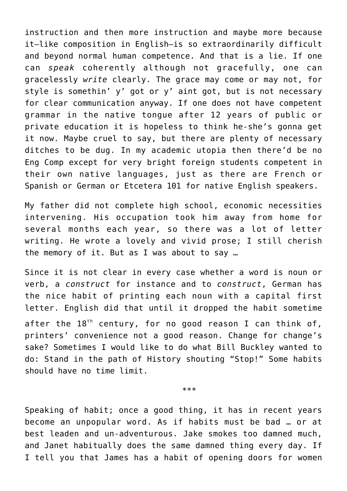instruction and then more instruction and maybe more because it—like composition in English—is so extraordinarily difficult and beyond normal human competence. And that is a lie. If one can *speak* coherently although not gracefully, one can gracelessly *write* clearly. The grace may come or may not, for style is somethin' y' got or y' aint got, but is not necessary for clear communication anyway. If one does not have competent grammar in the native tongue after 12 years of public or private education it is hopeless to think he-she's gonna get it now. Maybe cruel to say, but there are plenty of necessary ditches to be dug. In my academic utopia then there'd be no Eng Comp except for very bright foreign students competent in their own native languages, just as there are French or Spanish or German or Etcetera 101 for native English speakers.

My father did not complete high school, economic necessities intervening. His occupation took him away from home for several months each year, so there was a lot of letter writing. He wrote a lovely and vivid prose; I still cherish the memory of it. But as I was about to say …

Since it is not clear in every case whether a word is noun or verb, a *construct* for instance and to *construct*, German has the nice habit of printing each noun with a capital first letter. English did that until it dropped the habit sometime after the  $18<sup>th</sup>$  century, for no good reason I can think of, printers' convenience not a good reason. Change for change's sake? Sometimes I would like to do what Bill Buckley wanted to do: Stand in the path of History shouting "Stop!" Some habits should have no time limit.

\*\*\*

Speaking of habit; once a good thing, it has in recent years become an unpopular word. As if habits must be bad … or at best leaden and un-adventurous. Jake smokes too damned much, and Janet habitually does the same damned thing every day. If I tell you that James has a habit of opening doors for women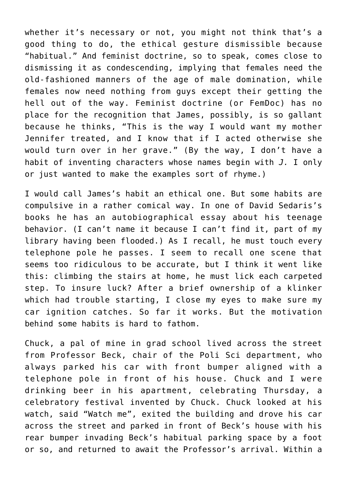whether it's necessary or not, you might not think that's a good thing to do, the ethical gesture dismissible because "habitual." And feminist doctrine, so to speak, comes close to dismissing it as condescending, implying that females need the old-fashioned manners of the age of male domination, while females now need nothing from guys except their getting the hell out of the way. Feminist doctrine (or FemDoc) has no place for the recognition that James, possibly, is so gallant because he thinks, "This is the way I would want my mother Jennifer treated, and I know that if I acted otherwise she would turn over in her grave." (By the way, I don't have a habit of inventing characters whose names begin with *J.* I only or just wanted to make the examples sort of rhyme.)

I would call James's habit an ethical one. But some habits are compulsive in a rather comical way. In one of David Sedaris's books he has an autobiographical essay about his teenage behavior. (I can't name it because I can't find it, part of my library having been flooded.) As I recall, he must touch every telephone pole he passes. I seem to recall one scene that seems too ridiculous to be accurate, but I think it went like this: climbing the stairs at home, he must lick each carpeted step. To insure luck? After a brief ownership of a klinker which had trouble starting, I close my eyes to make sure my car ignition catches. So far it works. But the motivation behind some habits is hard to fathom.

Chuck, a pal of mine in grad school lived across the street from Professor Beck, chair of the Poli Sci department, who always parked his car with front bumper aligned with a telephone pole in front of his house. Chuck and I were drinking beer in his apartment, celebrating Thursday, a celebratory festival invented by Chuck. Chuck looked at his watch, said "Watch me", exited the building and drove his car across the street and parked in front of Beck's house with his rear bumper invading Beck's habitual parking space by a foot or so, and returned to await the Professor's arrival. Within a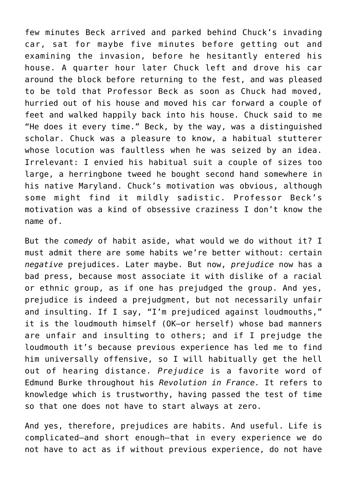few minutes Beck arrived and parked behind Chuck's invading car, sat for maybe five minutes before getting out and examining the invasion, before he hesitantly entered his house. A quarter hour later Chuck left and drove his car around the block before returning to the fest, and was pleased to be told that Professor Beck as soon as Chuck had moved, hurried out of his house and moved his car forward a couple of feet and walked happily back into his house. Chuck said to me "He does it every time." Beck, by the way, was a distinguished scholar. Chuck was a pleasure to know, a habitual stutterer whose locution was faultless when he was seized by an idea. Irrelevant: I envied his habitual suit a couple of sizes too large, a herringbone tweed he bought second hand somewhere in his native Maryland. Chuck's motivation was obvious, although some might find it mildly sadistic. Professor Beck's motivation was a kind of obsessive craziness I don't know the name of.

But the *comedy* of habit aside, what would we do without it? I must admit there are some habits we're better without: certain *negative* prejudices. Later maybe. But now, *prejudice* now has a bad press, because most associate it with dislike of a racial or ethnic group, as if one has prejudged the group. And yes, prejudice is indeed a prejudgment, but not necessarily unfair and insulting. If I say, "I'm prejudiced against loudmouths," it is the loudmouth himself (OK—or herself) whose bad manners are unfair and insulting to others; and if I prejudge the loudmouth it's because previous experience has led me to find him universally offensive, so I will habitually get the hell out of hearing distance. *Prejudice* is a favorite word of Edmund Burke throughout his *Revolution in France.* It refers to knowledge which is trustworthy, having passed the test of time so that one does not have to start always at zero.

And yes, therefore, prejudices are habits. And useful. Life is complicated—and short enough—that in every experience we do not have to act as if without previous experience, do not have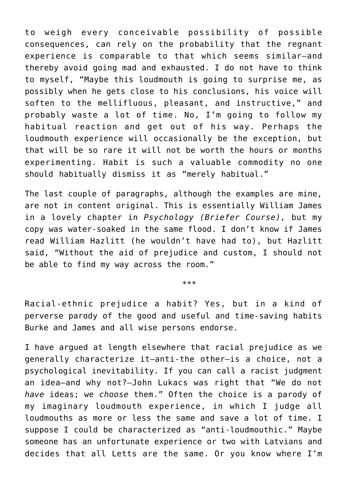to weigh every conceivable possibility of possible consequences, can rely on the probability that the regnant experience is comparable to that which seems similar—and thereby avoid going mad and exhausted. I do not have to think to myself, "Maybe this loudmouth is going to surprise me, as possibly when he gets close to his conclusions, his voice will soften to the mellifluous, pleasant, and instructive," and probably waste a lot of time. No, I'm going to follow my habitual reaction and get out of his way. Perhaps the loudmouth experience will occasionally be the exception, but that will be so rare it will not be worth the hours or months experimenting. Habit is such a valuable commodity no one should habitually dismiss it as "merely habitual."

The last couple of paragraphs, although the examples are mine, are not in content original. This is essentially William James in a lovely chapter in *Psychology (Briefer Course),* but my copy was water-soaked in the same flood. I don't know if James read William Hazlitt (he wouldn't have had to), but Hazlitt said, "Without the aid of prejudice and custom, I should not be able to find my way across the room."

\*\*\*

Racial-ethnic prejudice a habit? Yes, but in a kind of perverse parody of the good and useful and time-saving habits Burke and James and all wise persons endorse.

I have argued at length elsewhere that racial prejudice as we generally characterize it—anti-the other—is a choice, not a psychological inevitability. If you can call a racist judgment an idea—and why not?—John Lukacs was right that "We do not *have* ideas; we *choose* them." Often the choice is a parody of my imaginary loudmouth experience, in which I judge all loudmouths as more or less the same and save a lot of time. I suppose I could be characterized as "anti-loudmouthic." Maybe someone has an unfortunate experience or two with Latvians and decides that all Letts are the same. Or you know where I'm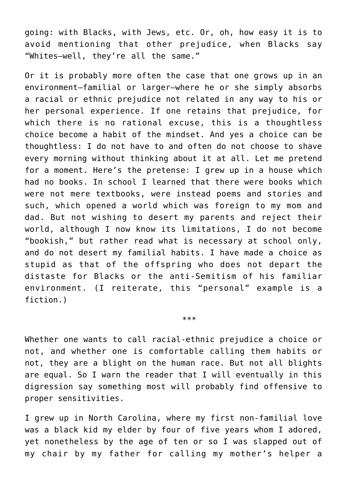going: with Blacks, with Jews, etc. Or, oh, how easy it is to avoid mentioning that other prejudice, when Blacks say "Whites—well, they're all the same."

Or it is probably more often the case that one grows up in an environment—familial or larger—where he or she simply absorbs a racial or ethnic prejudice not related in any way to his or her personal experience. If one retains that prejudice, for which there is no rational excuse, this is a thoughtless choice become a habit of the mindset. And yes a choice can be thoughtless: I do not have to and often do not choose to shave every morning without thinking about it at all. Let me pretend for a moment. Here's the pretense: I grew up in a house which had no books. In school I learned that there were books which were not mere textbooks, were instead poems and stories and such, which opened a world which was foreign to my mom and dad. But not wishing to desert my parents and reject their world, although I now know its limitations, I do not become "bookish," but rather read what is necessary at school only, and do not desert my familial habits. I have made a choice as stupid as that of the offspring who does not depart the distaste for Blacks or the anti-Semitism of his familiar environment. (I reiterate, this "personal" example is a fiction.)

Whether one wants to call racial-ethnic prejudice a choice or not, and whether one is comfortable calling them habits or not, they are a blight on the human race. But not all blights are equal. So I warn the reader that I will eventually in this digression say something most will probably find offensive to proper sensitivities.

\*\*\*

I grew up in North Carolina, where my first non-familial love was a black kid my elder by four of five years whom I adored, yet nonetheless by the age of ten or so I was slapped out of my chair by my father for calling my mother's helper a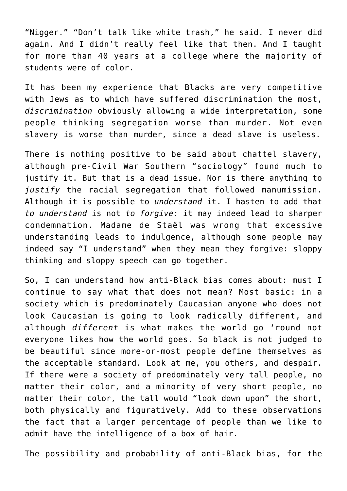"Nigger." "Don't talk like white trash," he said. I never did again. And I didn't really feel like that then. And I taught for more than 40 years at a college where the majority of students were of color.

It has been my experience that Blacks are very competitive with Jews as to which have suffered discrimination the most, *discrimination* obviously allowing a wide interpretation, some people thinking segregation worse than murder. Not even slavery is worse than murder, since a dead slave is useless.

There is nothing positive to be said about chattel slavery, although pre-Civil War Southern "sociology" found much to justify it. But that is a dead issue. Nor is there anything to *justify* the racial segregation that followed manumission. Although it is possible to *understand* it. I hasten to add that *to understand* is not *to forgive:* it may indeed lead to sharper condemnation. Madame de Staël was wrong that excessive understanding leads to indulgence, although some people may indeed say "I understand" when they mean they forgive: sloppy thinking and sloppy speech can go together.

So, I can understand how anti-Black bias comes about: must I continue to say what that does not mean? Most basic: in a society which is predominately Caucasian anyone who does not look Caucasian is going to look radically different, and although *different* is what makes the world go 'round not everyone likes how the world goes. So black is not judged to be beautiful since more-or-most people define themselves as the acceptable standard. Look at me, you others, and despair. If there were a society of predominately very tall people, no matter their color, and a minority of very short people, no matter their color, the tall would "look down upon" the short, both physically and figuratively. Add to these observations the fact that a larger percentage of people than we like to admit have the intelligence of a box of hair.

The possibility and probability of anti-Black bias, for the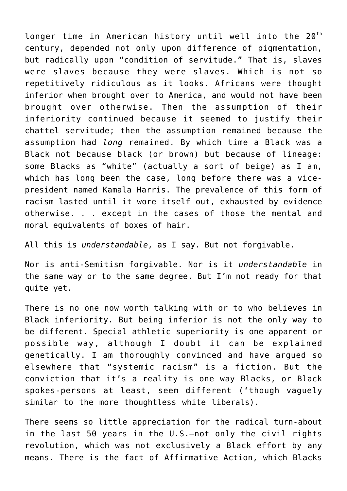longer time in American history until well into the  $20<sup>th</sup>$ century, depended not only upon difference of pigmentation, but radically upon "condition of servitude." That is, slaves were slaves because they were slaves. Which is not so repetitively ridiculous as it looks. Africans were thought inferior when brought over to America, and would not have been brought over otherwise. Then the assumption of their inferiority continued because it seemed to justify their chattel servitude; then the assumption remained because the assumption had *long* remained. By which time a Black was a Black not because black (or brown) but because of lineage: some Blacks as "white" (actually a sort of beige) as I am, which has long been the case, long before there was a vicepresident named Kamala Harris. The prevalence of this form of racism lasted until it wore itself out, exhausted by evidence otherwise. . . except in the cases of those the mental and moral equivalents of boxes of hair.

All this is *understandable*, as I say. But not forgivable.

Nor is anti-Semitism forgivable. Nor is it *understandable* in the same way or to the same degree. But I'm not ready for that quite yet.

There is no one now worth talking with or to who believes in Black inferiority. But being inferior is not the only way to be different. Special athletic superiority is one apparent or possible way, although I doubt it can be explained genetically. I am thoroughly convinced and have argued so elsewhere that "systemic racism" is a fiction. But the conviction that it's a reality is one way Blacks, or Black spokes-persons at least, seem different ('though vaguely similar to the more thoughtless white liberals).

There seems so little appreciation for the radical turn-about in the last 50 years in the U.S.—not only the civil rights revolution, which was not exclusively a Black effort by any means. There is the fact of Affirmative Action, which Blacks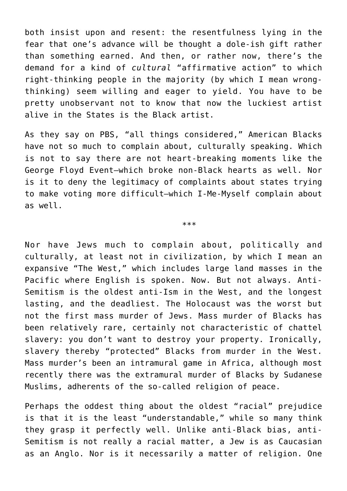both insist upon and resent: the resentfulness lying in the fear that one's advance will be thought a dole-ish gift rather than something earned. And then, or rather now, there's the demand for a kind of *cultural* "affirmative action" to which right-thinking people in the majority (by which I mean wrongthinking) seem willing and eager to yield. You have to be pretty unobservant not to know that now the luckiest artist alive in the States is the Black artist.

As they say on PBS, "all things considered," American Blacks have not so much to complain about, culturally speaking. Which is not to say there are not heart-breaking moments like the George Floyd Event—which broke non-Black hearts as well. Nor is it to deny the legitimacy of complaints about states trying to make voting more difficult—which I-Me-Myself complain about as well.

\*\*\*

Nor have Jews much to complain about, politically and culturally, at least not in civilization, by which I mean an expansive "The West," which includes large land masses in the Pacific where English is spoken. Now. But not always. Anti-Semitism is the oldest anti-Ism in the West, and the longest lasting, and the deadliest. The Holocaust was the worst but not the first mass murder of Jews. Mass murder of Blacks has been relatively rare, certainly not characteristic of chattel slavery: you don't want to destroy your property. Ironically, slavery thereby "protected" Blacks from murder in the West. Mass murder's been an intramural game in Africa, although most recently there was the extramural murder of Blacks by Sudanese Muslims, adherents of the so-called religion of peace.

Perhaps the oddest thing about the oldest "racial" prejudice is that it is the least "understandable," while so many think they grasp it perfectly well. Unlike anti-Black bias, anti-Semitism is not really a racial matter, a Jew is as Caucasian as an Anglo. Nor is it necessarily a matter of religion. One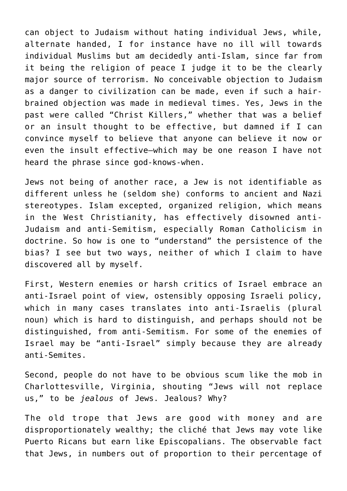can object to Judaism without hating individual Jews, while, alternate handed, I for instance have no ill will towards individual Muslims but am decidedly anti-Islam, since far from it being the religion of peace I judge it to be the clearly major source of terrorism. No conceivable objection to Judaism as a danger to civilization can be made, even if such a hairbrained objection was made in medieval times. Yes, Jews in the past were called "Christ Killers," whether that was a belief or an insult thought to be effective, but damned if I can convince myself to believe that anyone can believe it now or even the insult effective—which may be one reason I have not heard the phrase since god-knows-when.

Jews not being of another race, a Jew is not identifiable as different unless he (seldom she) conforms to ancient and Nazi stereotypes. Islam excepted, organized religion, which means in the West Christianity, has effectively disowned anti-Judaism and anti-Semitism, especially Roman Catholicism in doctrine. So how is one to "understand" the persistence of the bias? I see but two ways, neither of which I claim to have discovered all by myself.

First, Western enemies or harsh critics of Israel embrace an anti-Israel point of view, ostensibly opposing Israeli policy, which in many cases translates into anti-Israelis (plural noun) which is hard to distinguish, and perhaps should not be distinguished, from anti-Semitism. For some of the enemies of Israel may be "anti-Israel" simply because they are already anti-Semites.

Second, people do not have to be obvious scum like the mob in Charlottesville, Virginia, shouting "Jews will not replace us," to be *jealous* of Jews. Jealous? Why?

The old trope that Jews are good with money and are disproportionately wealthy; the cliché that Jews may vote like Puerto Ricans but earn like Episcopalians. The observable fact that Jews, in numbers out of proportion to their percentage of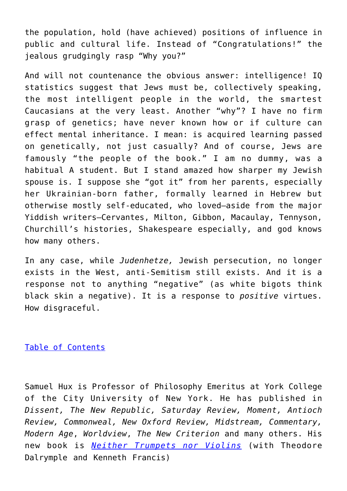the population, hold (have achieved) positions of influence in public and cultural life. Instead of "Congratulations!" the jealous grudgingly rasp "Why you?"

And will not countenance the obvious answer: intelligence! IQ statistics suggest that Jews must be, collectively speaking, the most intelligent people in the world, the smartest Caucasians at the very least. Another "why"? I have no firm grasp of genetics; have never known how or if culture can effect mental inheritance. I mean: is acquired learning passed on genetically, not just casually? And of course, Jews are famously "the people of the book." I am no dummy, was a habitual A student. But I stand amazed how sharper my Jewish spouse is. I suppose she "got it" from her parents, especially her Ukrainian-born father, formally learned in Hebrew but otherwise mostly self-educated, who loved—aside from the major Yiddish writers—Cervantes, Milton, Gibbon, Macaulay, Tennyson, Churchill's histories, Shakespeare especially, and god knows how many others.

In any case, while *Judenhetze,* Jewish persecution, no longer exists in the West, anti-Semitism still exists. And it is a response not to anything "negative" (as white bigots think black skin a negative). It is a response to *positive* virtues. How disgraceful.

[Table of Contents](https://www.newenglishreview.org/)

Samuel Hux is Professor of Philosophy Emeritus at York College of the City University of New York. He has published in *Dissent, The New Republic, Saturday Review, Moment, Antioch Review, Commonweal, New Oxford Review, Midstream, Commentary, Modern Age*, *Worldview*, *The New Criterion* and many others. His new book is *[Neither Trumpets nor Violins](https://www.amazon.com/Neither-Trumpets-Violins-Theodore-Dalrymple/dp/1943003564/ref=tmm_hrd_swatch_0?_encoding=UTF8&qid=&sr=)* (with Theodore Dalrymple and Kenneth Francis)